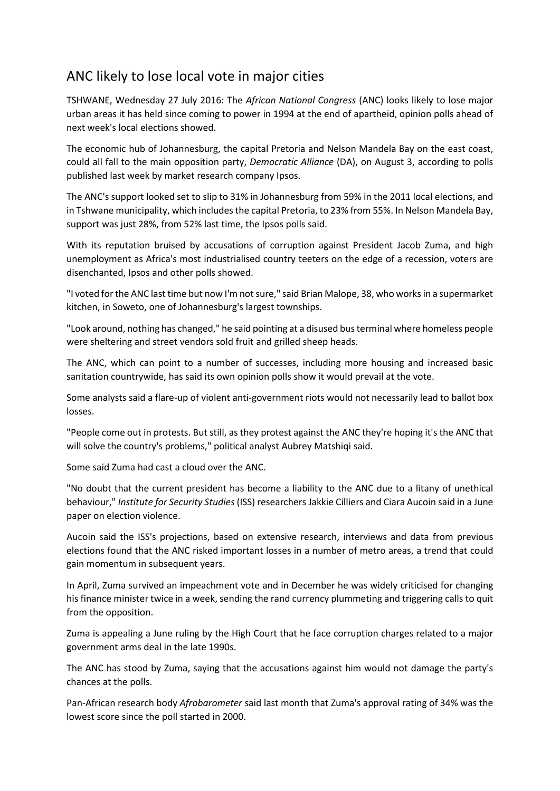## ANC likely to lose local vote in major cities

TSHWANE, Wednesday 27 July 2016: The *African National Congress* (ANC) looks likely to lose major urban areas it has held since coming to power in 1994 at the end of apartheid, opinion polls ahead of next week's local elections showed.

The economic hub of Johannesburg, the capital Pretoria and Nelson Mandela Bay on the east coast, could all fall to the main opposition party, *Democratic Alliance* (DA), on August 3, according to polls published last week by market research company Ipsos.

The ANC's support looked set to slip to 31% in Johannesburg from 59% in the 2011 local elections, and in Tshwane municipality, which includes the capital Pretoria, to 23% from 55%. In Nelson Mandela Bay, support was just 28%, from 52% last time, the Ipsos polls said.

With its reputation bruised by accusations of corruption against President Jacob Zuma, and high unemployment as Africa's most industrialised country teeters on the edge of a recession, voters are disenchanted, Ipsos and other polls showed.

"I voted for the ANC last time but now I'm not sure," said Brian Malope, 38, who works in a supermarket kitchen, in Soweto, one of Johannesburg's largest townships.

"Look around, nothing has changed," he said pointing at a disused bus terminal where homeless people were sheltering and street vendors sold fruit and grilled sheep heads.

The ANC, which can point to a number of successes, including more housing and increased basic sanitation countrywide, has said its own opinion polls show it would prevail at the vote.

Some analysts said a flare-up of violent anti-government riots would not necessarily lead to ballot box losses.

"People come out in protests. But still, as they protest against the ANC they're hoping it's the ANC that will solve the country's problems," political analyst Aubrey Matshiqi said.

Some said Zuma had cast a cloud over the ANC.

"No doubt that the current president has become a liability to the ANC due to a litany of unethical behaviour," *Institute for Security Studies* (ISS) researchers Jakkie Cilliers and Ciara Aucoin said in a June paper on election violence.

Aucoin said the ISS's projections, based on extensive research, interviews and data from previous elections found that the ANC risked important losses in a number of metro areas, a trend that could gain momentum in subsequent years.

In April, Zuma survived an impeachment vote and in December he was widely criticised for changing his finance minister twice in a week, sending the rand currency plummeting and triggering calls to quit from the opposition.

Zuma is appealing a June ruling by the High Court that he face corruption charges related to a major government arms deal in the late 1990s.

The ANC has stood by Zuma, saying that the accusations against him would not damage the party's chances at the polls.

Pan-African research body *Afrobarometer* said last month that Zuma's approval rating of 34% was the lowest score since the poll started in 2000.